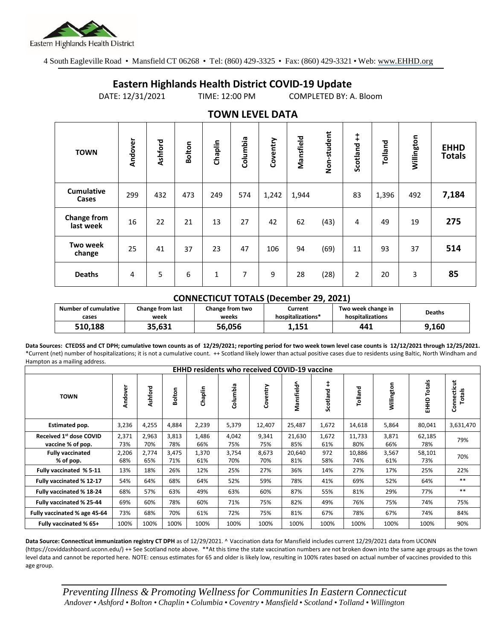

4 South Eagleville Road • Mansfield CT 06268 • Tel: (860) 429-3325 • Fax: (860) 429-3321 • Web: www.EHHD.org

## **Eastern Highlands Health District COVID-19 Update**

DATE: 12/31/2021 TIME: 12:00 PM COMPLETED BY: A. Bloom

| $19.111$ is the set $27.17$ |         |         |               |              |          |          |           |             |                |         |            |                              |
|-----------------------------|---------|---------|---------------|--------------|----------|----------|-----------|-------------|----------------|---------|------------|------------------------------|
| <b>TOWN</b>                 | Andover | Ashford | <b>Bolton</b> | Chaplin      | Columbia | Coventry | Mansfield | Non-student | Scotland ++    | Tolland | Willington | <b>EHHD</b><br><b>Totals</b> |
| <b>Cumulative</b><br>Cases  | 299     | 432     | 473           | 249          | 574      | 1,242    | 1,944     |             | 83             | 1,396   | 492        | 7,184                        |
| Change from<br>last week    | 16      | 22      | 21            | 13           | 27       | 42       | 62        | (43)        | 4              | 49      | 19         | 275                          |
| Two week<br>change          | 25      | 41      | 37            | 23           | 47       | 106      | 94        | (69)        | 11             | 93      | 37         | 514                          |
| <b>Deaths</b>               | 4       | 5       | 6             | $\mathbf{1}$ | 7        | 9        | 28        | (28)        | $\overline{2}$ | 20      | 3          | 85                           |

## **TOWN LEVEL DATA**

## **CONNECTICUT TOTALS (December 29, 2021)**

| Number of cumulative | <b>Change from last</b> | <b>Change from two</b> | Current           | Two week change in | <b>Deaths</b> |
|----------------------|-------------------------|------------------------|-------------------|--------------------|---------------|
| cases                | week                    | weeks                  | hospitalizations* | hospitalizations   |               |
| 510.188              | 35,631                  | 56,056                 | 1,151             | 441                | 9,160         |

**Data Sources: CTEDSS and CT DPH; cumulative town counts as of 12/29/2021; reporting period for two week town level case counts is 12/12/2021 through 12/25/2021.** \*Current (net) number of hospitalizations; it is not a cumulative count. ++ Scotland likely lower than actual positive cases due to residents using Baltic, North Windham and Hampton as a mailing address.

| <b>EHHD residents who received COVID-19 vaccine</b> |              |              |              |              |              |              |               |              |               |              |                  |                       |
|-----------------------------------------------------|--------------|--------------|--------------|--------------|--------------|--------------|---------------|--------------|---------------|--------------|------------------|-----------------------|
| <b>TOWN</b>                                         | Andover      | Ashford      | Bolton       | Chaplin      | Columbia     | Coventry     | Mansfield^    | Scotland     | Tolland       | Willington   | Totals<br>요<br>표 | Connecticut<br>Totals |
| Estimated pop.                                      | 3,236        | 4,255        | 4,884        | 2,239        | 5,379        | 12,407       | 25,487        | 1,672        | 14,618        | 5,864        | 80,041           | 3,631,470             |
| Received 1st dose COVID<br>vaccine % of pop.        | 2,371<br>73% | 2,963<br>70% | 3,813<br>78% | 1,486<br>66% | 4,042<br>75% | 9,341<br>75% | 21,630<br>85% | 1,672<br>61% | 11,733<br>80% | 3,871<br>66% | 62,185<br>78%    | 79%                   |
| <b>Fully vaccinated</b><br>% of pop.                | 2,206<br>68% | 2,774<br>65% | 3,475<br>71% | 1,370<br>61% | 3,754<br>70% | 8,673<br>70% | 20,640<br>81% | 972<br>58%   | 10,886<br>74% | 3,567<br>61% | 58,101<br>73%    | 70%                   |
| Fully vaccinated % 5-11                             | 13%          | 18%          | 26%          | 12%          | 25%          | 27%          | 36%           | 14%          | 27%           | 17%          | 25%              | 22%                   |
| Fully vaccinated % 12-17                            | 54%          | 64%          | 68%          | 64%          | 52%          | 59%          | 78%           | 41%          | 69%           | 52%          | 64%              | $***$                 |
| Fully vaccinated % 18-24                            | 68%          | 57%          | 63%          | 49%          | 63%          | 60%          | 87%           | 55%          | 81%           | 29%          | 77%              | $***$                 |
| Fully vaccinated % 25-44                            | 69%          | 60%          | 78%          | 60%          | 71%          | 75%          | 82%           | 49%          | 76%           | 75%          | 74%              | 75%                   |
| Fully vaccinated % age 45-64                        | 73%          | 68%          | 70%          | 61%          | 72%          | 75%          | 81%           | 67%          | 78%           | 67%          | 74%              | 84%                   |
| Fully vaccinated % 65+                              | 100%         | 100%         | 100%         | 100%         | 100%         | 100%         | 100%          | 100%         | 100%          | 100%         | 100%             | 90%                   |

**Data Source: Connecticut immunization registry CT DPH** as of 12/29/2021. ^ Vaccination data for Mansfield includes current 12/29/2021 data from UCONN (https://coviddashboard.uconn.edu/) ++ See Scotland note above. \*\*At this time the state vaccination numbers are not broken down into the same age groups as the town level data and cannot be reported here. NOTE: census estimates for 65 and older is likely low, resulting in 100% rates based on actual number of vaccines provided to this age group.

*Preventing Illness & Promoting Wellnessfor Communities In Eastern Connecticut* Andover • Ashford • Bolton • Chaplin • Columbia • Coventry • Mansfield • Scotland • Tolland • Willington